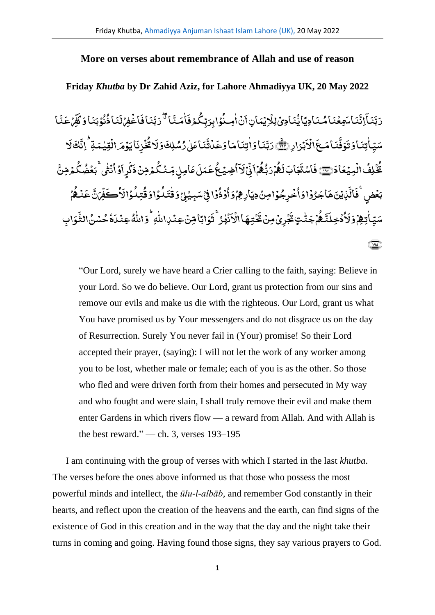## **More on verses about remembrance of Allah and use of reason**

## **Friday** *Khutba* **by Dr Zahid Aziz, for Lahore Ahmadiyya UK, 20 May 2022**

ا َ ن ع<br>با<sup>ق</sup> رَبَّ ِ<br>مَامَـنَّـ ٰ ِ<br>ـ ،<br>كمۇف .<br>ۇابِرَبِّگ .<br>, ُ ِمن ا ن ٰ **أ** ِّ ِ<br>بَنَادِیۡلِلۡاِیۡمَانِ}َ .<br>, ؚ<br>ۣ بِعۡنَامُـنَادِيَايُّ .<br>, ِ<br>ـ .<br>نما سو ្ជ اِنَّ  $\overline{a}$ ا َ ن ِ<br>دَبَّنَـآ إِنَّنَـا مَعِعۡنَـا مُـنَـادِيَّا بُّنَـادِيۡ لِلۡائِمَانِ أَنۡ اٰمِـنُوۡا بِدَبِّكُمۡ فَاٰمَـنَّـا أَ ۚ دَبَّنَـا فَاٰغُفِرۡ لَنَـا ذُنُوۡ بَنَـاۤ وَ كَفَّرۡ عَنَّـا ء<br>ند ِ<br>م م<br>ماع .<br>, ِ<br>س ف َ .<br>وۡبَنَاوَكَ .<br>, ُ ن ُ ِ<br>نَمَاذُ ે<br>સ ل فِر اغ .<br>, **أ** ِ<br>ـ ف .<br>بُرَارِ *(* **أ** َ ا ال **أ** َ .<br>نمامك ِ<br>نه ءَ<br>وُفُ ِ<br>ـ سَيِّأْتِنَاوَتَوَفَّنَامَــعَ ْالْاَبْرَادِ ۞ رَبَّنَاوَاٰتِنَامَاوَعَدُّتَّنَاعَلٰى رُسُّلِكَوَلَا ثُخُزِنَايَوۡمَرْالۡقِيٰمَةِ ۚ إِنَّكَلَا ٰ .<br>د بر ل ک ្ជ ِ<br>نَايَوۡهَ ِالۡقِيۡمَةِ ۗ إِذَّ ٰ .<br>, .<br>, َ ن ِ ز خ ؚ<br>ۣ ُ انی َ َ و ل َ ِ<br>نَنَاعَلٰی رُسُلِكَ ٰ ل ِ<br>نا ؞<br>؞ڎ .<br>, َ .<br>نَاوَاٰتِنَامَاوَعَـ ٰ ر<br>رَڊّ الۡمِیۡعَادَ﴾ <u>َ</u> .<br>ء ُ لِف خ **أ** ُ تُخْلِفُ الْمِيْعَادَ (٢٦) فَاسْتَعَابَ لَكُمْ .<br>, ُ ہ ِ<br>ب ل َ اب َ ج **ृ** ت اس .<br>ء .<br>فَاسْتَ<del>جَ</del>ابَ لَـهُمۡرَبُّـهُمۡٱذۡیۡلَآاۡضِیۡـہُمۡتَحَمَلَ عَامِیٰ مِّیۡنُکۡمَ مِّنۡ ذَکَرِ اَوۡ اُنۡشٰی ۚ بَعۡضُکُمۡرمِّنۡ ۚ ک ُ ور<br>نثی بَعۡضُ .<br>م ٰ .<br>, ُ و<br>وا .<br>, ِّ ِ<br>وا َ ک َ ِ<br>كَمۡرِضۡنَ ذَ <sub>.</sub><br>عَامِلٍ مِّـنۡـُگُ .<br>ء ે<br>ક .<br>يتملَ َ ع ُ ۻٝؿؙۼ .<br>, ُ ا ِ<br>په بر ِ<br>ـ ل **ٔ** ة<br>پي ر<br>بر ب<u>ه</u> ن ا م .<br>ء ُ ہ ر<br>رَڊٌ ؞<br>بَعۡضِ **أ** ر<br>مات ِ<br>س و<br>کافی و<br>د َ ال و .<br>, ُ ِّعْ<br>تيلُم ُ ،<br>واوڤ .<br>, ُ ۇا ڧێقسىيىن **وَقْتَ**دُ ٰ ل .<br>, .<br>ء .<br>, ُ ذ و **أ** ُ خۡرِجُوۡامِنۡ دِیَارِهِمۡوَاْ <u>َ</u> **ٔ** <u>َ</u> ُ ِ<br>بِحَرُوْا وَأ **أ ृ** .<br>نِایۡنَ هَـ ؚ<br>ۣ ِ<br>په الٌ **ृ** فَالَّدْيۡنَ هَاجَرُوۡا وَأُخۡهِ جُوۡامِنۡ دِيَارِهِمۡوَٳُوۡوُا فِيۡسَبِيۡلِہٖۚ وَقُتَلُوۡا وَقُتلُوۡا لَأُكۡفَمِّنَّ عَنۡـُمۡمۡ .<br>, ُ ہ ن .<br>م **ृ** ع ؊ؾؚۣۨٵٝؾ**ۿؚۥٞۏٙڵٲۮ۠ڂؚڶڐۜڰۢ**ؠٞڂٮۨ۠ؾٟػۘ*ؘۼٞ*ڔؽۡڡؚڽ*ٛ*ڠؙۧڎؚ**ۿ**ٲ۩۠ۮؘٮۢ۫ۿۯ۠<sup>ؖ</sup>ڟؘۅٙٲڹٵڡؚۜڽۢ؏ٮؙ۬ٮڔٲٮڵۨ*؋*ؗ۠ۅٙٲٮڵۨڡ۠ۢ؏ٮؙ۫ٮؘۮؘؗ؇ ٰ ٗ َ و<br>4عِنْمَلَ .<br>, ٰ į ء<br>4 وَاللہ ٰ ŗ ِ<br>وَابًا مِّنۡ عِنۡلِاللَّ **ٔ** َ ؞<br>نُهُوُ ۖ تُ ٰ .<br>, َ ۔<br>فتیها الٰا .<br>, <u>َ</u> َ ِ<br>بُرِیۡ مِنۡ تَخ **ٔ** َ ر<br>مَجَنَّتِ مَخَّ ٰ <u>َ</u> ُ ہ ِ<br>نم َ دۡخِلَ **أ** ُ ام ۿؚ<sub>ۘٲ</sub>ۅٙڒۘۮؙڂٟٮڶؘڐۘۿؙۥٛڄٙڐ۠ٮؾٟٕػؘۼ<sub>ؚ</sub>ۯۣؠۘ۠ڡؚڽٛڠٙڂؾؚۿٵٱڶۘٲٮۢۿۯ<sup>ۨ</sup>ۧٞۊؘۏٳؠٓٵۺؚؽ۫ڝؚڹٛٳ۩ۨڷۊؗ۠ۅؘٳڛڷڰ۠ۅڶڹ ل <u>َ</u> ِ<br>س ِ<br>سَنْ الثَّ ﴾۱۹۵﴿

"Our Lord, surely we have heard a Crier calling to the faith, saying: Believe in your Lord. So we do believe. Our Lord, grant us protection from our sins and remove our evils and make us die with the righteous. Our Lord, grant us what You have promised us by Your messengers and do not disgrace us on the day of Resurrection. Surely You never fail in (Your) promise! So their Lord accepted their prayer, (saying): I will not let the work of any worker among you to be lost, whether male or female; each of you is as the other. So those who fled and were driven forth from their homes and persecuted in My way and who fought and were slain, I shall truly remove their evil and make them enter Gardens in which rivers flow — a reward from Allah. And with Allah is the best reward." — ch. 3, verses 193–195

I am continuing with the group of verses with which I started in the last *khutba*. The verses before the ones above informed us that those who possess the most powerful minds and intellect, the *ūlu-l-albāb,* and remember God constantly in their hearts, and reflect upon the creation of the heavens and the earth, can find signs of the existence of God in this creation and in the way that the day and the night take their turns in coming and going. Having found those signs, they say various prayers to God.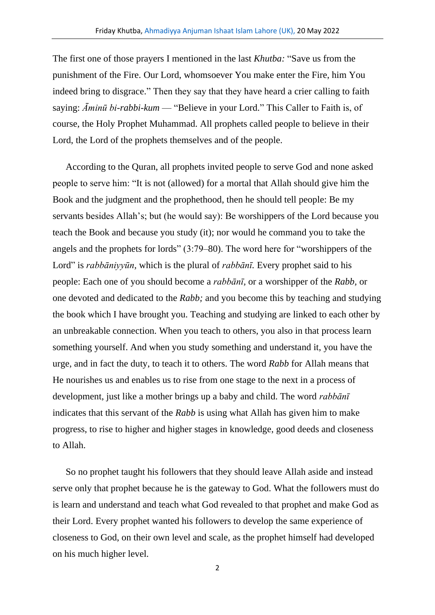The first one of those prayers I mentioned in the last *Khutba:* "Save us from the punishment of the Fire. Our Lord, whomsoever You make enter the Fire, him You indeed bring to disgrace." Then they say that they have heard a crier calling to faith saying: *Āminū bi-rabbi-kum* — "Believe in your Lord." This Caller to Faith is, of course, the Holy Prophet Muhammad. All prophets called people to believe in their Lord, the Lord of the prophets themselves and of the people.

According to the Quran, all prophets invited people to serve God and none asked people to serve him: "It is not (allowed) for a mortal that Allah should give him the Book and the judgment and the prophethood, then he should tell people: Be my servants besides Allah's; but (he would say): Be worshippers of the Lord because you teach the Book and because you study (it); nor would he command you to take the angels and the prophets for lords" (3:79–80). The word here for "worshippers of the Lord" is *rabbāniyyūn,* which is the plural of *rabbānī.* Every prophet said to his people: Each one of you should become a *rabbānī,* or a worshipper of the *Rabb,* or one devoted and dedicated to the *Rabb;* and you become this by teaching and studying the book which I have brought you. Teaching and studying are linked to each other by an unbreakable connection. When you teach to others, you also in that process learn something yourself. And when you study something and understand it, you have the urge, and in fact the duty, to teach it to others. The word *Rabb* for Allah means that He nourishes us and enables us to rise from one stage to the next in a process of development, just like a mother brings up a baby and child. The word *rabbānī* indicates that this servant of the *Rabb* is using what Allah has given him to make progress, to rise to higher and higher stages in knowledge, good deeds and closeness to Allah.

So no prophet taught his followers that they should leave Allah aside and instead serve only that prophet because he is the gateway to God. What the followers must do is learn and understand and teach what God revealed to that prophet and make God as their Lord. Every prophet wanted his followers to develop the same experience of closeness to God, on their own level and scale, as the prophet himself had developed on his much higher level.

2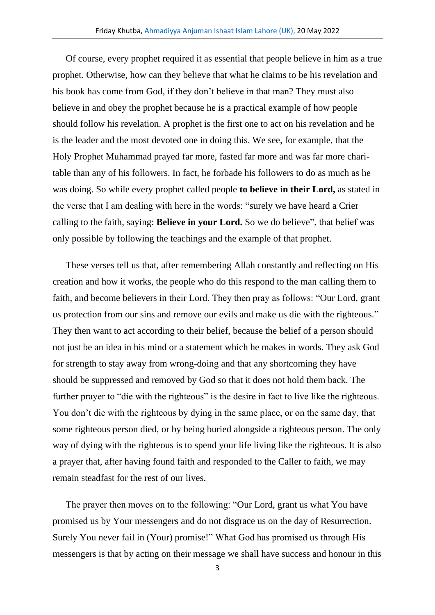Of course, every prophet required it as essential that people believe in him as a true prophet. Otherwise, how can they believe that what he claims to be his revelation and his book has come from God, if they don't believe in that man? They must also believe in and obey the prophet because he is a practical example of how people should follow his revelation. A prophet is the first one to act on his revelation and he is the leader and the most devoted one in doing this. We see, for example, that the Holy Prophet Muhammad prayed far more, fasted far more and was far more charitable than any of his followers. In fact, he forbade his followers to do as much as he was doing. So while every prophet called people **to believe in their Lord,** as stated in the verse that I am dealing with here in the words: "surely we have heard a Crier calling to the faith, saying: **Believe in your Lord.** So we do believe", that belief was only possible by following the teachings and the example of that prophet.

These verses tell us that, after remembering Allah constantly and reflecting on His creation and how it works, the people who do this respond to the man calling them to faith, and become believers in their Lord. They then pray as follows: "Our Lord, grant us protection from our sins and remove our evils and make us die with the righteous." They then want to act according to their belief, because the belief of a person should not just be an idea in his mind or a statement which he makes in words. They ask God for strength to stay away from wrong-doing and that any shortcoming they have should be suppressed and removed by God so that it does not hold them back. The further prayer to "die with the righteous" is the desire in fact to live like the righteous. You don't die with the righteous by dying in the same place, or on the same day, that some righteous person died, or by being buried alongside a righteous person. The only way of dying with the righteous is to spend your life living like the righteous. It is also a prayer that, after having found faith and responded to the Caller to faith, we may remain steadfast for the rest of our lives.

The prayer then moves on to the following: "Our Lord, grant us what You have promised us by Your messengers and do not disgrace us on the day of Resurrection. Surely You never fail in (Your) promise!" What God has promised us through His messengers is that by acting on their message we shall have success and honour in this

3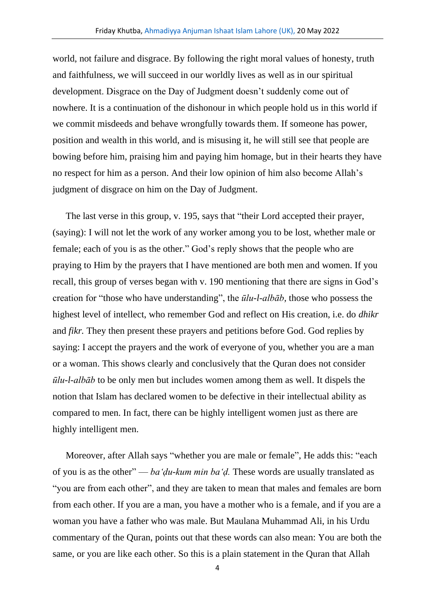world, not failure and disgrace. By following the right moral values of honesty, truth and faithfulness, we will succeed in our worldly lives as well as in our spiritual development. Disgrace on the Day of Judgment doesn't suddenly come out of nowhere. It is a continuation of the dishonour in which people hold us in this world if we commit misdeeds and behave wrongfully towards them. If someone has power, position and wealth in this world, and is misusing it, he will still see that people are bowing before him, praising him and paying him homage, but in their hearts they have no respect for him as a person. And their low opinion of him also become Allah's judgment of disgrace on him on the Day of Judgment.

The last verse in this group, v. 195, says that "their Lord accepted their prayer, (saying): I will not let the work of any worker among you to be lost, whether male or female; each of you is as the other." God's reply shows that the people who are praying to Him by the prayers that I have mentioned are both men and women. If you recall, this group of verses began with v. 190 mentioning that there are signs in God's creation for "those who have understanding", the *ūlu-l-albāb,* those who possess the highest level of intellect, who remember God and reflect on His creation, i.e. do *dhikr* and *fikr.* They then present these prayers and petitions before God. God replies by saying: I accept the prayers and the work of everyone of you, whether you are a man or a woman. This shows clearly and conclusively that the Quran does not consider *ūlu-l-albāb* to be only men but includes women among them as well. It dispels the notion that Islam has declared women to be defective in their intellectual ability as compared to men. In fact, there can be highly intelligent women just as there are highly intelligent men.

Moreover, after Allah says "whether you are male or female", He adds this: "each of you is as the other" — *ba'ḍu-kum min ba'ḍ.* These words are usually translated as "you are from each other", and they are taken to mean that males and females are born from each other. If you are a man, you have a mother who is a female, and if you are a woman you have a father who was male. But Maulana Muhammad Ali, in his Urdu commentary of the Quran, points out that these words can also mean: You are both the same, or you are like each other. So this is a plain statement in the Quran that Allah